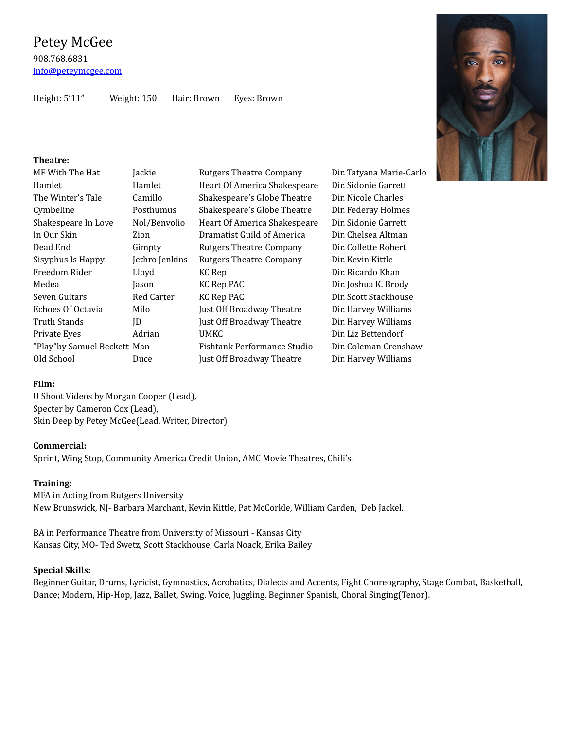Height: 5'11" Weight: 150 Hair: Brown Eyes: Brown

## **Theatre:**

| MF With The Hat             | Jackie         | <b>Rutgers Theatre Company</b> | Dir. Tatyana Marie-Carlo |
|-----------------------------|----------------|--------------------------------|--------------------------|
| Hamlet                      | Hamlet         | Heart Of America Shakespeare   | Dir. Sidonie Garrett     |
| The Winter's Tale           | Camillo        | Shakespeare's Globe Theatre    | Dir. Nicole Charles      |
| Cymbeline                   | Posthumus      | Shakespeare's Globe Theatre    | Dir. Federay Holmes      |
| Shakespeare In Love         | Nol/Benvolio   | Heart Of America Shakespeare   | Dir. Sidonie Garrett     |
| In Our Skin                 | Zion           | Dramatist Guild of America     | Dir. Chelsea Altman      |
| Dead End                    | Gimpty         | <b>Rutgers Theatre Company</b> | Dir. Collette Robert     |
| Sisyphus Is Happy           | Jethro Jenkins | <b>Rutgers Theatre Company</b> | Dir. Kevin Kittle        |
| Freedom Rider               | Lloyd          | KC Rep                         | Dir. Ricardo Khan        |
| Medea                       | Jason          | KC Rep PAC                     | Dir. Joshua K. Brody     |
| Seven Guitars               | Red Carter     | KC Rep PAC                     | Dir. Scott Stackhouse    |
| Echoes Of Octavia           | Milo           | Just Off Broadway Theatre      | Dir. Harvey Williams     |
| Truth Stands                | ID             | Just Off Broadway Theatre      | Dir. Harvey Williams     |
| Private Eyes                | Adrian         | <b>UMKC</b>                    | Dir. Liz Bettendorf      |
| "Play"by Samuel Beckett Man |                | Fishtank Performance Studio    | Dir. Coleman Crenshaw    |
| Old School                  | Duce           | Just Off Broadway Theatre      | Dir. Harvey Williams     |

### **Film:**

U Shoot Videos by Morgan Cooper (Lead), Specter by Cameron Cox (Lead), Skin Deep by Petey McGee(Lead, Writer, Director)

# **Commercial:**

Sprint, Wing Stop, Community America Credit Union, AMC Movie Theatres, Chili's.

### **Training:**

MFA in Acting from Rutgers University New Brunswick, NJ- Barbara Marchant, Kevin Kittle, Pat McCorkle, William Carden, Deb Jackel.

BA in Performance Theatre from University of Missouri - Kansas City Kansas City, MO- Ted Swetz, Scott Stackhouse, Carla Noack, Erika Bailey

# **Special Skills:**

Beginner Guitar, Drums, Lyricist, Gymnastics, Acrobatics, Dialects and Accents, Fight Choreography, Stage Combat, Basketball, Dance; Modern, Hip-Hop, Jazz, Ballet, Swing. Voice, Juggling. Beginner Spanish, Choral Singing(Tenor).